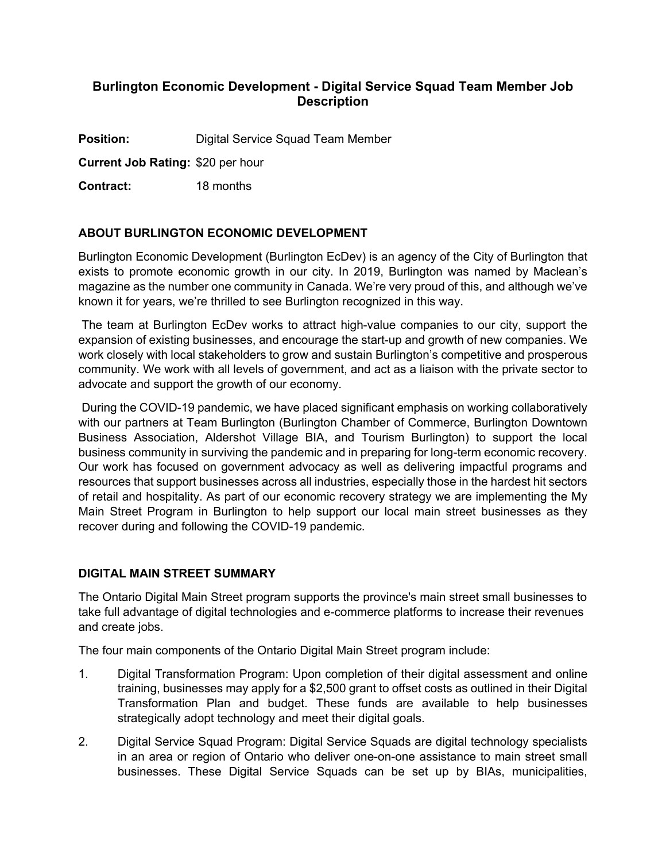# **Burlington Economic Development - Digital Service Squad Team Member Job Description**

**Position:** Digital Service Squad Team Member

**Current Job Rating:** \$20 per hour

**Contract:** 18 months

# **ABOUT BURLINGTON ECONOMIC DEVELOPMENT**

Burlington Economic Development (Burlington EcDev) is an agency of the City of Burlington that exists to promote economic growth in our city. In 2019, Burlington was named by Maclean's magazine as the number one community in Canada. We're very proud of this, and although we've known it for years, we're thrilled to see Burlington recognized in this way.

The team at Burlington EcDev works to attract high-value companies to our city, support the expansion of existing businesses, and encourage the start-up and growth of new companies. We work closely with local stakeholders to grow and sustain Burlington's competitive and prosperous community. We work with all levels of government, and act as a liaison with the private sector to advocate and support the growth of our economy.

During the COVID-19 pandemic, we have placed significant emphasis on working collaboratively with our partners at Team Burlington (Burlington Chamber of Commerce, Burlington Downtown Business Association, Aldershot Village BIA, and Tourism Burlington) to support the local business community in surviving the pandemic and in preparing for long-term economic recovery. Our work has focused on government advocacy as well as delivering impactful programs and resources that support businesses across all industries, especially those in the hardest hit sectors of retail and hospitality. As part of our economic recovery strategy we are implementing the My Main Street Program in Burlington to help support our local main street businesses as they recover during and following the COVID-19 pandemic.

### **DIGITAL MAIN STREET SUMMARY**

The Ontario Digital Main Street program supports the province's main street small businesses to take full advantage of digital technologies and e-commerce platforms to increase their revenues and create jobs.

The four main components of the Ontario Digital Main Street program include:

- 1. Digital Transformation Program: Upon completion of their digital assessment and online training, businesses may apply for a \$2,500 grant to offset costs as outlined in their Digital Transformation Plan and budget. These funds are available to help businesses strategically adopt technology and meet their digital goals.
- 2. Digital Service Squad Program: Digital Service Squads are digital technology specialists in an area or region of Ontario who deliver one-on-one assistance to main street small businesses. These Digital Service Squads can be set up by BIAs, municipalities,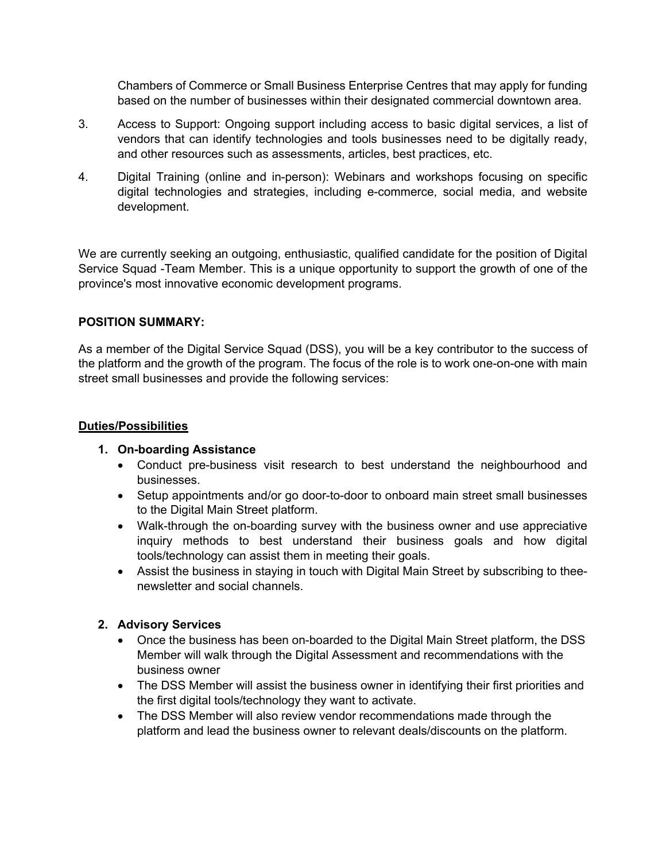Chambers of Commerce or Small Business Enterprise Centres that may apply for funding based on the number of businesses within their designated commercial downtown area.

- 3. Access to Support: Ongoing support including access to basic digital services, a list of vendors that can identify technologies and tools businesses need to be digitally ready, and other resources such as assessments, articles, best practices, etc.
- 4. Digital Training (online and in-person): Webinars and workshops focusing on specific digital technologies and strategies, including e-commerce, social media, and website development.

We are currently seeking an outgoing, enthusiastic, qualified candidate for the position of Digital Service Squad -Team Member. This is a unique opportunity to support the growth of one of the province's most innovative economic development programs.

### **POSITION SUMMARY:**

As a member of the Digital Service Squad (DSS), you will be a key contributor to the success of the platform and the growth of the program. The focus of the role is to work one-on-one with main street small businesses and provide the following services:

### **Duties/Possibilities**

### **1. On-boarding Assistance**

- Conduct pre-business visit research to best understand the neighbourhood and businesses.
- Setup appointments and/or go door-to-door to onboard main street small businesses to the Digital Main Street platform.
- Walk-through the on-boarding survey with the business owner and use appreciative inquiry methods to best understand their business goals and how digital tools/technology can assist them in meeting their goals.
- Assist the business in staying in touch with Digital Main Street by subscribing to theenewsletter and social channels.

# **2. Advisory Services**

- Once the business has been on-boarded to the Digital Main Street platform, the DSS Member will walk through the Digital Assessment and recommendations with the business owner
- The DSS Member will assist the business owner in identifying their first priorities and the first digital tools/technology they want to activate.
- The DSS Member will also review vendor recommendations made through the platform and lead the business owner to relevant deals/discounts on the platform.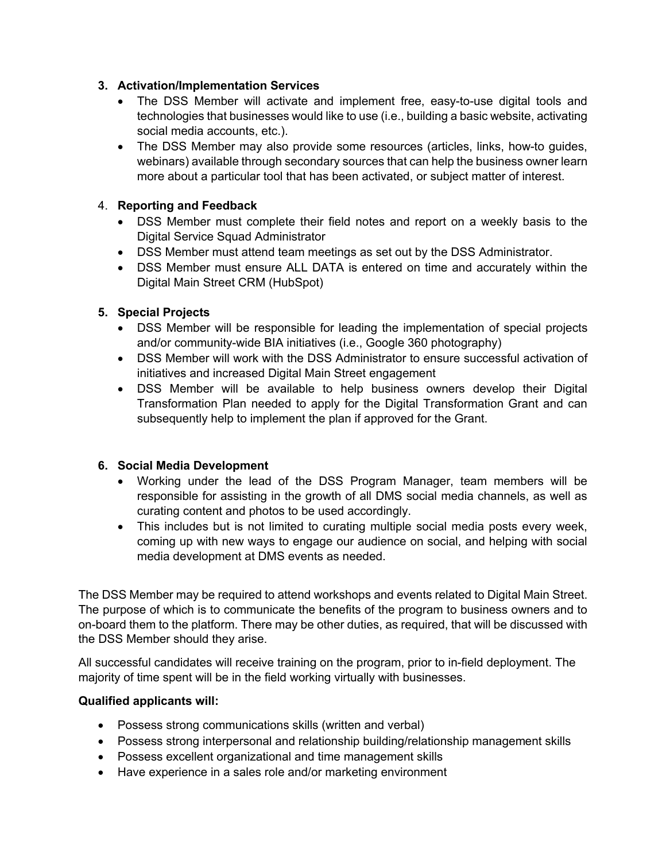### **3. Activation/Implementation Services**

- The DSS Member will activate and implement free, easy-to-use digital tools and technologies that businesses would like to use (i.e., building a basic website, activating social media accounts, etc.).
- The DSS Member may also provide some resources (articles, links, how-to guides, webinars) available through secondary sources that can help the business owner learn more about a particular tool that has been activated, or subject matter of interest.

### 4. **Reporting and Feedback**

- DSS Member must complete their field notes and report on a weekly basis to the Digital Service Squad Administrator
- DSS Member must attend team meetings as set out by the DSS Administrator.
- DSS Member must ensure ALL DATA is entered on time and accurately within the Digital Main Street CRM (HubSpot)

### **5. Special Projects**

- DSS Member will be responsible for leading the implementation of special projects and/or community-wide BIA initiatives (i.e., Google 360 photography)
- DSS Member will work with the DSS Administrator to ensure successful activation of initiatives and increased Digital Main Street engagement
- DSS Member will be available to help business owners develop their Digital Transformation Plan needed to apply for the Digital Transformation Grant and can subsequently help to implement the plan if approved for the Grant.

### **6. Social Media Development**

- Working under the lead of the DSS Program Manager, team members will be responsible for assisting in the growth of all DMS social media channels, as well as curating content and photos to be used accordingly.
- This includes but is not limited to curating multiple social media posts every week, coming up with new ways to engage our audience on social, and helping with social media development at DMS events as needed.

The DSS Member may be required to attend workshops and events related to Digital Main Street. The purpose of which is to communicate the benefits of the program to business owners and to on-board them to the platform. There may be other duties, as required, that will be discussed with the DSS Member should they arise.

All successful candidates will receive training on the program, prior to in-field deployment. The majority of time spent will be in the field working virtually with businesses.

### **Qualified applicants will:**

- Possess strong communications skills (written and verbal)
- Possess strong interpersonal and relationship building/relationship management skills
- Possess excellent organizational and time management skills
- Have experience in a sales role and/or marketing environment